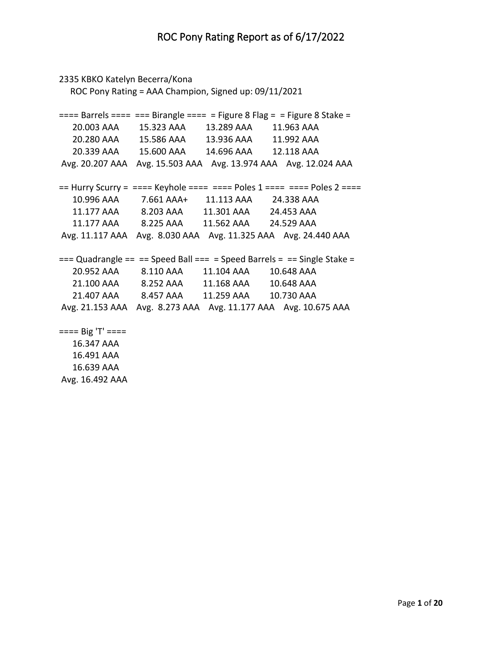```
2335 KBKO Katelyn Becerra/Kona
   ROC Pony Rating = AAA Champion, Signed up: 09/11/2021
=== Barrels === === Birangle === = Figure 8 Flag = = Figure 8 Stake = 20.003 AAA 15.323 AAA 13.289 AAA 11.963 AAA 
   20.280 AAA 15.586 AAA 13.936 AAA 11.992 AAA 
   20.339 AAA 15.600 AAA 14.696 AAA 12.118 AAA 
Avg. 20.207 AAA Avg. 15.503 AAA Avg. 13.974 AAA Avg. 12.024 AAA 
== Hurry Scurry = ==== Keyhole ===== = Poles 1 ==== = Poles 2 ===
   10.996 AAA 7.661 AAA+ 11.113 AAA 24.338 AAA 
   11.177 AAA 8.203 AAA 11.301 AAA 24.453 AAA 
   11.177 AAA 8.225 AAA 11.562 AAA 24.529 AAA 
Avg. 11.117 AAA Avg. 8.030 AAA Avg. 11.325 AAA Avg. 24.440 AAA 
== Quadrangle == == Speed Ball === = Speed Barrels = == Single Stake =
   20.952 AAA 8.110 AAA 11.104 AAA 10.648 AAA 
   21.100 AAA 8.252 AAA 11.168 AAA 10.648 AAA 
   21.407 AAA 8.457 AAA 11.259 AAA 10.730 AAA 
Avg. 21.153 AAA Avg. 8.273 AAA Avg. 11.177 AAA Avg. 10.675 AAA 
==== Big 'T' ==== 16.347 AAA 
   16.491 AAA
```
 16.639 AAA Avg. 16.492 AAA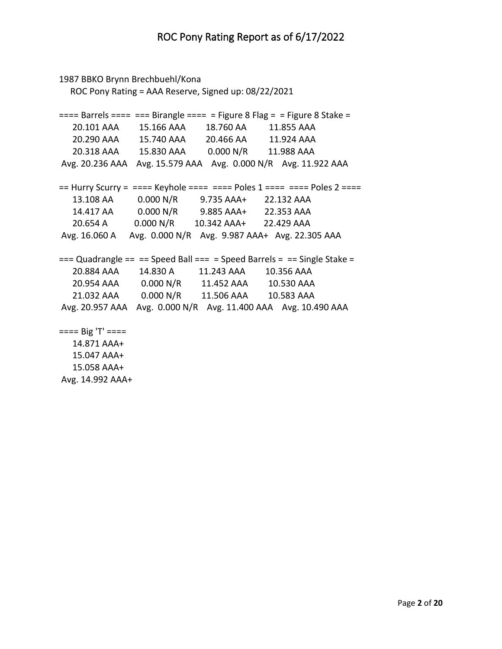```
1987 BBKO Brynn Brechbuehl/Kona
   ROC Pony Rating = AAA Reserve, Signed up: 08/22/2021
=== Barrels === === Birangle === = Figure 8 Flag = = Figure 8 Stake = 20.101 AAA 15.166 AAA 18.760 AA 11.855 AAA 
   20.290 AAA 15.740 AAA 20.466 AA 11.924 AAA 
   20.318 AAA 15.830 AAA 0.000 N/R 11.988 AAA 
Avg. 20.236 AAA Avg. 15.579 AAA Avg. 0.000 N/R Avg. 11.922 AAA 
== Hurry Scurry = ==== Keyhole ===== = Poles 1 ==== = Poles 2 ===
   13.108 AA 0.000 N/R 9.735 AAA+ 22.132 AAA 
   14.417 AA 0.000 N/R 9.885 AAA+ 22.353 AAA 
   20.654 A 0.000 N/R 10.342 AAA+ 22.429 AAA 
Avg. 16.060 A Avg. 0.000 N/R Avg. 9.987 AAA+ Avg. 22.305 AAA 
== Quadrangle == == Speed Ball === = Speed Barrels = == Single Stake =
   20.884 AAA 14.830 A 11.243 AAA 10.356 AAA 
   20.954 AAA 0.000 N/R 11.452 AAA 10.530 AAA 
   21.032 AAA 0.000 N/R 11.506 AAA 10.583 AAA 
Avg. 20.957 AAA Avg. 0.000 N/R Avg. 11.400 AAA Avg. 10.490 AAA 
==== Big 'T' ==== 14.871 AAA+
   15.047 AAA+
   15.058 AAA+
```
Avg. 14.992 AAA+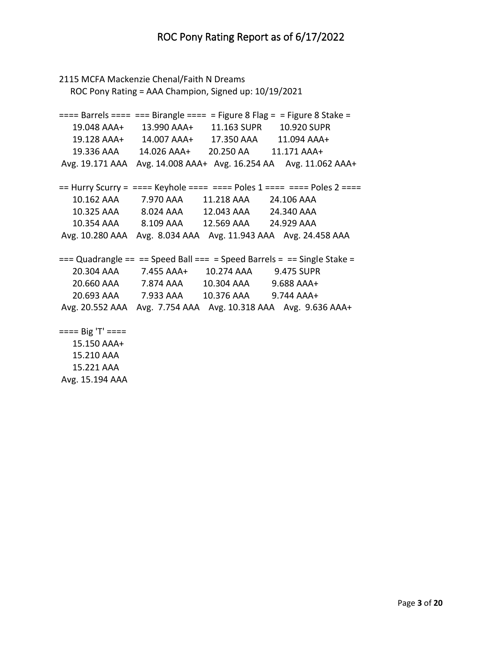```
2115 MCFA Mackenzie Chenal/Faith N Dreams
   ROC Pony Rating = AAA Champion, Signed up: 10/19/2021
=== Barrels === === Birangle === = Figure 8 Flag = = Figure 8 Stake =
   19.048 AAA+ 13.990 AAA+ 11.163 SUPR 10.920 SUPR
   19.128 AAA+ 14.007 AAA+ 17.350 AAA 11.094 AAA+
   19.336 AAA 14.026 AAA+ 20.250 AA 11.171 AAA+
Avg. 19.171 AAA Avg. 14.008 AAA+ Avg. 16.254 AA Avg. 11.062 AAA+
== Hurry Scurry = ==== Keyhole ===== = Poles 1 ==== = Poles 2 ===
   10.162 AAA 7.970 AAA 11.218 AAA 24.106 AAA 
   10.325 AAA 8.024 AAA 12.043 AAA 24.340 AAA 
   10.354 AAA 8.109 AAA 12.569 AAA 24.929 AAA 
Avg. 10.280 AAA Avg. 8.034 AAA Avg. 11.943 AAA Avg. 24.458 AAA 
== Quadrangle == == Speed Ball === = Speed Barrels = == Single Stake =
   20.304 AAA 7.455 AAA+ 10.274 AAA 9.475 SUPR
   20.660 AAA 7.874 AAA 10.304 AAA 9.688 AAA+
   20.693 AAA 7.933 AAA 10.376 AAA 9.744 AAA+
Avg. 20.552 AAA Avg. 7.754 AAA Avg. 10.318 AAA Avg. 9.636 AAA+
==== Big 'T' ==== 15.150 AAA+
   15.210 AAA
```
 15.221 AAA Avg. 15.194 AAA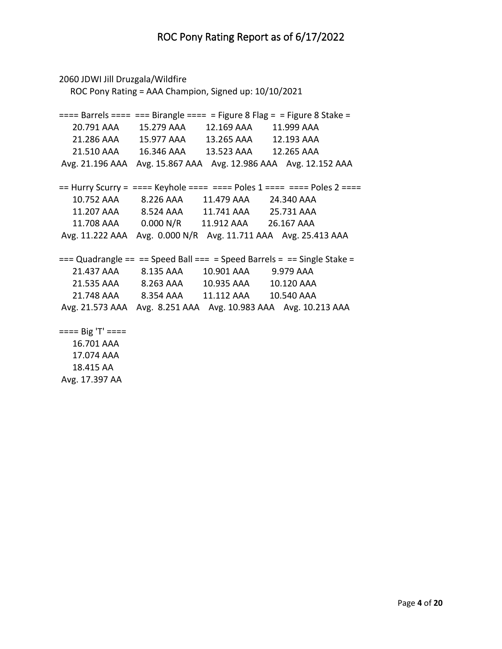```
2060 JDWI Jill Druzgala/Wildfire
   ROC Pony Rating = AAA Champion, Signed up: 10/10/2021
=== Barrels === === Birangle === = Figure 8 Flag = = Figure 8 Stake = 20.791 AAA 15.279 AAA 12.169 AAA 11.999 AAA 
   21.286 AAA 15.977 AAA 13.265 AAA 12.193 AAA 
   21.510 AAA 16.346 AAA 13.523 AAA 12.265 AAA 
Avg. 21.196 AAA Avg. 15.867 AAA Avg. 12.986 AAA Avg. 12.152 AAA 
== Hurry Scurry = ==== Keyhole ===== = Poles 1 ==== = Poles 2 ===
   10.752 AAA 8.226 AAA 11.479 AAA 24.340 AAA 
   11.207 AAA 8.524 AAA 11.741 AAA 25.731 AAA 
   11.708 AAA 0.000 N/R 11.912 AAA 26.167 AAA 
Avg. 11.222 AAA Avg. 0.000 N/R Avg. 11.711 AAA Avg. 25.413 AAA 
== Quadrangle == == Speed Ball == = Speed Barrels = == Single Stake =
   21.437 AAA 8.135 AAA 10.901 AAA 9.979 AAA 
   21.535 AAA 8.263 AAA 10.935 AAA 10.120 AAA 
   21.748 AAA 8.354 AAA 11.112 AAA 10.540 AAA 
Avg. 21.573 AAA Avg. 8.251 AAA Avg. 10.983 AAA Avg. 10.213 AAA 
==== Big 'T' ==== 16.701 AAA
```
 17.074 AAA 18.415 AA Avg. 17.397 AA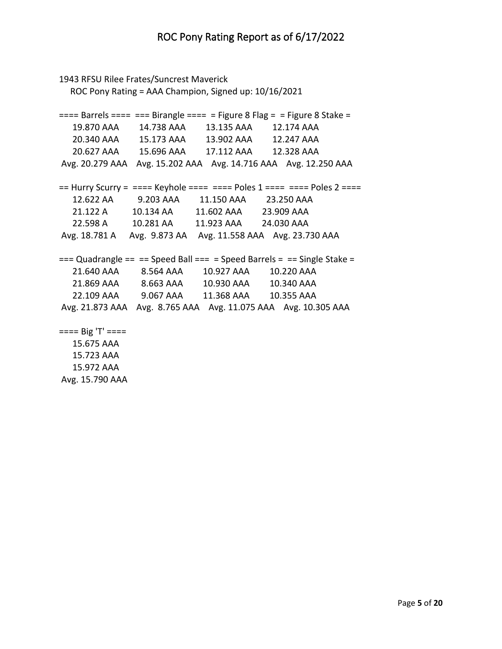```
1943 RFSU Rilee Frates/Suncrest Maverick
   ROC Pony Rating = AAA Champion, Signed up: 10/16/2021
=== Barrels === === Birangle === = Figure 8 Flag = = Figure 8 Stake = 19.870 AAA 14.738 AAA 13.135 AAA 12.174 AAA 
   20.340 AAA 15.173 AAA 13.902 AAA 12.247 AAA 
   20.627 AAA 15.696 AAA 17.112 AAA 12.328 AAA 
Avg. 20.279 AAA Avg. 15.202 AAA Avg. 14.716 AAA Avg. 12.250 AAA 
== Hurry Scurry = ==== Keyhole ===== = Poles 1 ==== = Poles 2 ===
   12.622 AA 9.203 AAA 11.150 AAA 23.250 AAA 
   21.122 A 10.134 AA 11.602 AAA 23.909 AAA 
   22.598 A 10.281 AA 11.923 AAA 24.030 AAA 
Avg. 18.781 A Avg. 9.873 AA Avg. 11.558 AAA Avg. 23.730 AAA 
== Quadrangle == == Speed Ball === = Speed Barrels = == Single Stake =
   21.640 AAA 8.564 AAA 10.927 AAA 10.220 AAA 
   21.869 AAA 8.663 AAA 10.930 AAA 10.340 AAA 
   22.109 AAA 9.067 AAA 11.368 AAA 10.355 AAA 
Avg. 21.873 AAA Avg. 8.765 AAA Avg. 11.075 AAA Avg. 10.305 AAA 
==== Big 'T' ==== 15.675 AAA 
   15.723 AAA
```
 15.972 AAA Avg. 15.790 AAA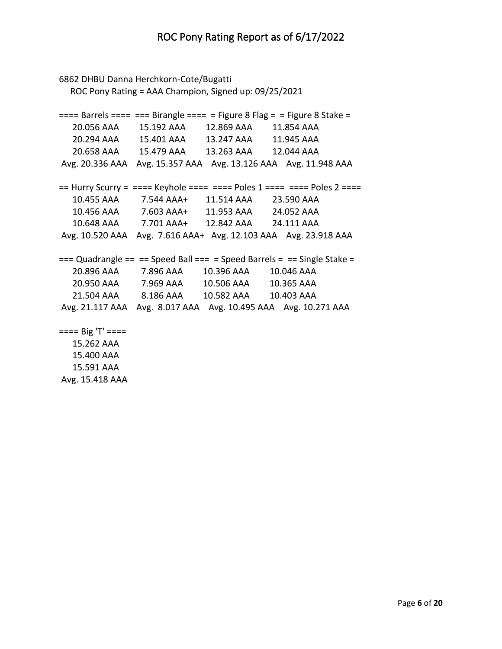```
6862 DHBU Danna Herchkorn-Cote/Bugatti
   ROC Pony Rating = AAA Champion, Signed up: 09/25/2021
=== Barrels === === Birangle === = Figure 8 Flag = = Figure 8 Stake = 20.056 AAA 15.192 AAA 12.869 AAA 11.854 AAA 
   20.294 AAA 15.401 AAA 13.247 AAA 11.945 AAA 
   20.658 AAA 15.479 AAA 13.263 AAA 12.044 AAA 
Avg. 20.336 AAA Avg. 15.357 AAA Avg. 13.126 AAA Avg. 11.948 AAA 
== Hurry Scurry = ==== Keyhole ===== = Poles 1 ==== = Poles 2 ===
   10.455 AAA 7.544 AAA+ 11.514 AAA 23.590 AAA 
   10.456 AAA 7.603 AAA+ 11.953 AAA 24.052 AAA 
   10.648 AAA 7.701 AAA+ 12.842 AAA 24.111 AAA 
Avg. 10.520 AAA Avg. 7.616 AAA+ Avg. 12.103 AAA Avg. 23.918 AAA 
== Quadrangle == == Speed Ball === = Speed Barrels = == Single Stake =
   20.896 AAA 7.896 AAA 10.396 AAA 10.046 AAA 
   20.950 AAA 7.969 AAA 10.506 AAA 10.365 AAA 
   21.504 AAA 8.186 AAA 10.582 AAA 10.403 AAA 
Avg. 21.117 AAA Avg. 8.017 AAA Avg. 10.495 AAA Avg. 10.271 AAA 
==== Big 'T' ==== 15.262 AAA 
   15.400 AAA
```
 15.591 AAA Avg. 15.418 AAA

Page **6** of **20**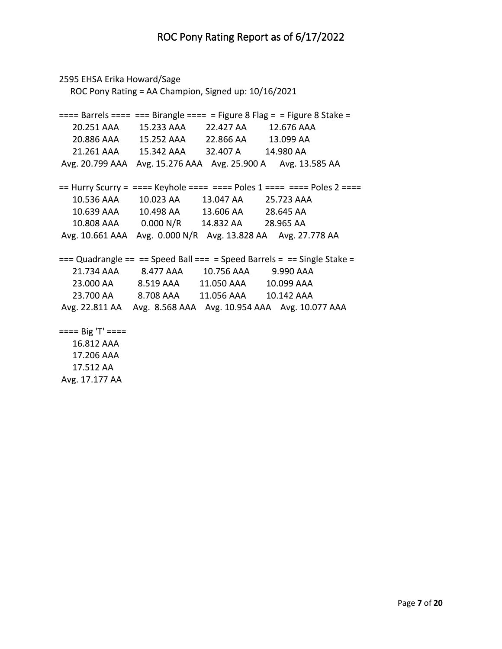```
2595 EHSA Erika Howard/Sage
   ROC Pony Rating = AA Champion, Signed up: 10/16/2021
=== Barrels === === Birangle === = Figure 8 Flag = = Figure 8 Stake = 20.251 AAA 15.233 AAA 22.427 AA 12.676 AAA 
   20.886 AAA 15.252 AAA 22.866 AA 13.099 AA 
   21.261 AAA 15.342 AAA 32.407 A 14.980 AA 
Avg. 20.799 AAA Avg. 15.276 AAA Avg. 25.900 A Avg. 13.585 AA 
== Hurry Scurry = ==== Keyhole ===== = Poles 1 ==== = Poles 2 ===
   10.536 AAA 10.023 AA 13.047 AA 25.723 AAA 
   10.639 AAA 10.498 AA 13.606 AA 28.645 AA 
   10.808 AAA 0.000 N/R 14.832 AA 28.965 AA 
Avg. 10.661 AAA Avg. 0.000 N/R Avg. 13.828 AA Avg. 27.778 AA 
== Quadrangle == == Speed Ball === = Speed Barrels = == Single Stake =
   21.734 AAA 8.477 AAA 10.756 AAA 9.990 AAA 
   23.000 AA 8.519 AAA 11.050 AAA 10.099 AAA 
   23.700 AA 8.708 AAA 11.056 AAA 10.142 AAA 
Avg. 22.811 AA Avg. 8.568 AAA Avg. 10.954 AAA Avg. 10.077 AAA 
==== Big 'T' ==== 16.812 AAA 
   17.206 AAA
```
 17.512 AA Avg. 17.177 AA

Page **7** of **20**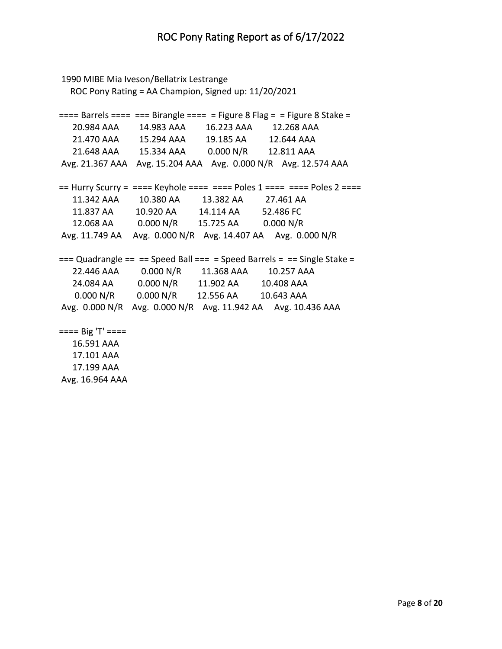```
1990 MIBE Mia Iveson/Bellatrix Lestrange
   ROC Pony Rating = AA Champion, Signed up: 11/20/2021
=== Barrels === === Birangle === = Figure 8 Flag = = Figure 8 Stake = 20.984 AAA 14.983 AAA 16.223 AAA 12.268 AAA 
   21.470 AAA 15.294 AAA 19.185 AA 12.644 AAA 
   21.648 AAA 15.334 AAA 0.000 N/R 12.811 AAA 
Avg. 21.367 AAA Avg. 15.204 AAA Avg. 0.000 N/R Avg. 12.574 AAA 
== Hurry Scurry = ==== Keyhole ===== = Poles 1 ==== = Poles 2 ===
   11.342 AAA 10.380 AA 13.382 AA 27.461 AA 
   11.837 AA 10.920 AA 14.114 AA 52.486 FC 
   12.068 AA 0.000 N/R 15.725 AA 0.000 N/R 
Avg. 11.749 AA Avg. 0.000 N/R Avg. 14.407 AA Avg. 0.000 N/R 
== Quadrangle == == Speed Ball === = Speed Barrels = == Single Stake =
   22.446 AAA 0.000 N/R 11.368 AAA 10.257 AAA 
   24.084 AA 0.000 N/R 11.902 AA 10.408 AAA 
    0.000 N/R 0.000 N/R 12.556 AA 10.643 AAA 
Avg. 0.000 N/R Avg. 0.000 N/R Avg. 11.942 AA Avg. 10.436 AAA 
==== Big 'T' ==== 16.591 AAA 
   17.101 AAA 
   17.199 AAA
```
Avg. 16.964 AAA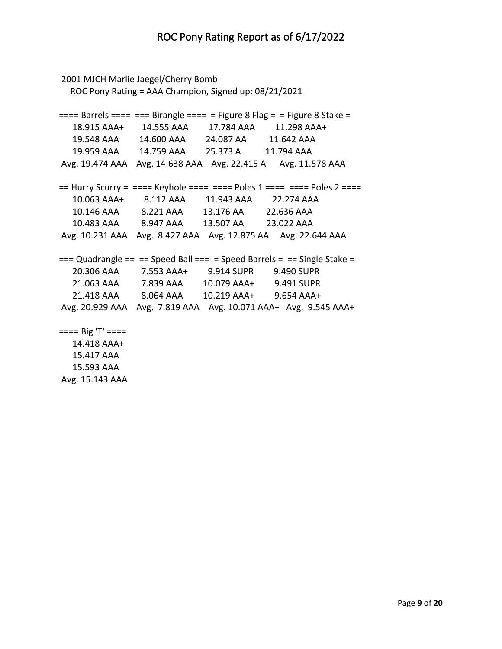```
2001 MJCH Marlie Jaegel/Cherry Bomb
   ROC Pony Rating = AAA Champion, Signed up: 08/21/2021
=== Barrels === === Birangle === = Figure 8 Flag = = Figure 8 Stake = 18.915 AAA+ 14.555 AAA 17.784 AAA 11.298 AAA+
   19.548 AAA 14.600 AAA 24.087 AA 11.642 AAA 
   19.959 AAA 14.759 AAA 25.373 A 11.794 AAA 
Avg. 19.474 AAA Avg. 14.638 AAA Avg. 22.415 A Avg. 11.578 AAA 
== Hurry Scurry = === Keyhole === === Poles 1 === = = Poles 2 === 10.063 AAA+ 8.112 AAA 11.943 AAA 22.274 AAA 
   10.146 AAA 8.221 AAA 13.176 AA 22.636 AAA 
   10.483 AAA 8.947 AAA 13.507 AA 23.022 AAA 
Avg. 10.231 AAA Avg. 8.427 AAA Avg. 12.875 AA Avg. 22.644 AAA 
== Quadrangle == == Speed Ball == = Speed Barrels = == Single Stake =
   20.306 AAA 7.553 AAA+ 9.914 SUPR 9.490 SUPR
   21.063 AAA 7.839 AAA 10.079 AAA+ 9.491 SUPR
   21.418 AAA 8.064 AAA 10.219 AAA+ 9.654 AAA+
Avg. 20.929 AAA Avg. 7.819 AAA Avg. 10.071 AAA+ Avg. 9.545 AAA+
==== Big 'T' ==== 14.418 AAA+
   15.417 AAA
```
 15.593 AAA Avg. 15.143 AAA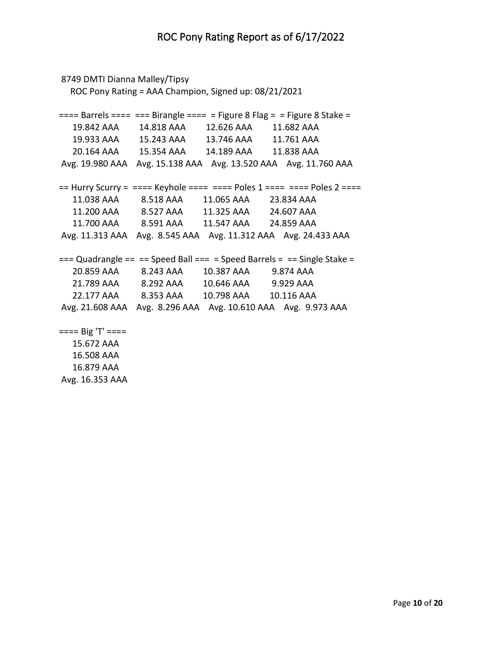```
8749 DMTI Dianna Malley/Tipsy
   ROC Pony Rating = AAA Champion, Signed up: 08/21/2021
=== Barrels === === Birangle === = Figure 8 Flag = = Figure 8 Stake = 19.842 AAA 14.818 AAA 12.626 AAA 11.682 AAA 
   19.933 AAA 15.243 AAA 13.746 AAA 11.761 AAA 
   20.164 AAA 15.354 AAA 14.189 AAA 11.838 AAA 
Avg. 19.980 AAA Avg. 15.138 AAA Avg. 13.520 AAA Avg. 11.760 AAA 
== Hurry Scurry = ==== Keyhole ===== = Poles 1 ==== = Poles 2 ===
   11.038 AAA 8.518 AAA 11.065 AAA 23.834 AAA 
   11.200 AAA 8.527 AAA 11.325 AAA 24.607 AAA 
   11.700 AAA 8.591 AAA 11.547 AAA 24.859 AAA 
Avg. 11.313 AAA Avg. 8.545 AAA Avg. 11.312 AAA Avg. 24.433 AAA 
== Quadrangle == == Speed Ball === = Speed Barrels = == Single Stake =
   20.859 AAA 8.243 AAA 10.387 AAA 9.874 AAA 
   21.789 AAA 8.292 AAA 10.646 AAA 9.929 AAA 
   22.177 AAA 8.353 AAA 10.798 AAA 10.116 AAA 
Avg. 21.608 AAA Avg. 8.296 AAA Avg. 10.610 AAA Avg. 9.973 AAA 
==== Big 'T' ==== 15.672 AAA 
   16.508 AAA
```
 16.879 AAA Avg. 16.353 AAA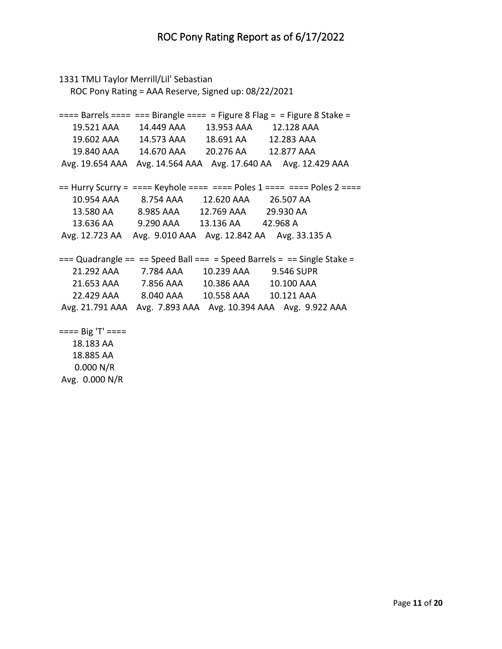```
1331 TMLI Taylor Merrill/Lil' Sebastian
   ROC Pony Rating = AAA Reserve, Signed up: 08/22/2021
=== Barrels === === Birangle === = Figure 8 Flag = = Figure 8 Stake = 19.521 AAA 14.449 AAA 13.953 AAA 12.128 AAA 
   19.602 AAA 14.573 AAA 18.691 AA 12.283 AAA 
   19.840 AAA 14.670 AAA 20.276 AA 12.877 AAA 
Avg. 19.654 AAA Avg. 14.564 AAA Avg. 17.640 AA Avg. 12.429 AAA 
== Hurry Scurry = ==== Keyhole ===== = Poles 1 ==== = Poles 2 ===
   10.954 AAA 8.754 AAA 12.620 AAA 26.507 AA 
   13.580 AA 8.985 AAA 12.769 AAA 29.930 AA 
   13.636 AA 9.290 AAA 13.136 AA 42.968 A 
Avg. 12.723 AA Avg. 9.010 AAA Avg. 12.842 AA Avg. 33.135 A 
== Quadrangle == == Speed Ball === = Speed Barrels = == Single Stake =
   21.292 AAA 7.784 AAA 10.239 AAA 9.546 SUPR
   21.653 AAA 7.856 AAA 10.386 AAA 10.100 AAA 
   22.429 AAA 8.040 AAA 10.558 AAA 10.121 AAA 
Avg. 21.791 AAA Avg. 7.893 AAA Avg. 10.394 AAA Avg. 9.922 AAA 
==== Big 'T' ==== 18.183 AA 
   18.885 AA
```
 0.000 N/R Avg. 0.000 N/R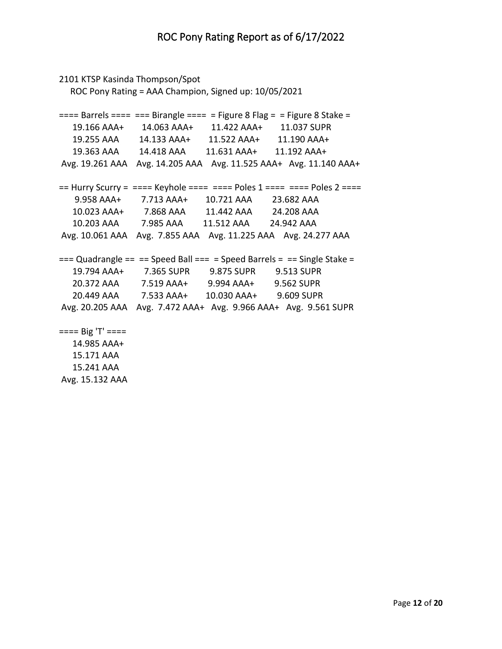```
2101 KTSP Kasinda Thompson/Spot
   ROC Pony Rating = AAA Champion, Signed up: 10/05/2021
=== Barrels === === Birangle === = Figure 8 Flag = = Figure 8 Stake = 19.166 AAA+ 14.063 AAA+ 11.422 AAA+ 11.037 SUPR
   19.255 AAA 14.133 AAA+ 11.522 AAA+ 11.190 AAA+
   19.363 AAA 14.418 AAA 11.631 AAA+ 11.192 AAA+
Avg. 19.261 AAA Avg. 14.205 AAA Avg. 11.525 AAA+ Avg. 11.140 AAA+
== Hurry Scurry = ==== Keyhole ===== = Poles 1 ==== = Poles 2 ===
    9.958 AAA+ 7.713 AAA+ 10.721 AAA 23.682 AAA 
   10.023 AAA+ 7.868 AAA 11.442 AAA 24.208 AAA 
   10.203 AAA 7.985 AAA 11.512 AAA 24.942 AAA 
Avg. 10.061 AAA Avg. 7.855 AAA Avg. 11.225 AAA Avg. 24.277 AAA 
== Quadrangle == == Speed Ball === = Speed Barrels = == Single Stake =
   19.794 AAA+ 7.365 SUPR 9.875 SUPR 9.513 SUPR
   20.372 AAA 7.519 AAA+ 9.994 AAA+ 9.562 SUPR
   20.449 AAA 7.533 AAA+ 10.030 AAA+ 9.609 SUPR
Avg. 20.205 AAA Avg. 7.472 AAA+ Avg. 9.966 AAA+ Avg. 9.561 SUPR
==== Big 'T' ==== 14.985 AAA+
   15.171 AAA
```
 15.241 AAA Avg. 15.132 AAA

Page **12** of **20**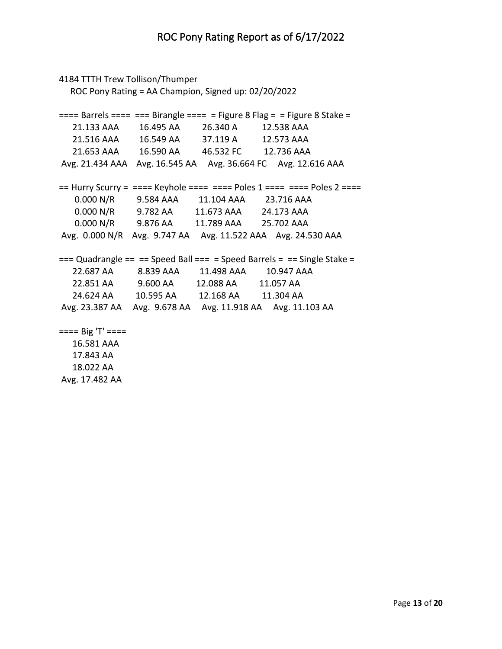```
4184 TTTH Trew Tollison/Thumper
   ROC Pony Rating = AA Champion, Signed up: 02/20/2022
=== Barrels === === Birangle === = Figure 8 Flag = = Figure 8 Stake = 21.133 AAA 16.495 AA 26.340 A 12.538 AAA 
   21.516 AAA 16.549 AA 37.119 A 12.573 AAA 
   21.653 AAA 16.590 AA 46.532 FC 12.736 AAA 
Avg. 21.434 AAA Avg. 16.545 AA Avg. 36.664 FC Avg. 12.616 AAA 
== Hurry Scurry = ==== Keyhole ===== = Poles 1 ==== = Poles 2 ===
    0.000 N/R 9.584 AAA 11.104 AAA 23.716 AAA 
    0.000 N/R 9.782 AA 11.673 AAA 24.173 AAA 
    0.000 N/R 9.876 AA 11.789 AAA 25.702 AAA 
Avg. 0.000 N/R Avg. 9.747 AA Avg. 11.522 AAA Avg. 24.530 AAA 
== Quadrangle == == Speed Ball === = Speed Barrels = == Single Stake =
   22.687 AA 8.839 AAA 11.498 AAA 10.947 AAA 
   22.851 AA 9.600 AA 12.088 AA 11.057 AA 
   24.624 AA 10.595 AA 12.168 AA 11.304 AA 
Avg. 23.387 AA Avg. 9.678 AA Avg. 11.918 AA Avg. 11.103 AA 
==== Big 'T' ==== 16.581 AAA 
   17.843 AA
```
 18.022 AA Avg. 17.482 AA

Page **13** of **20**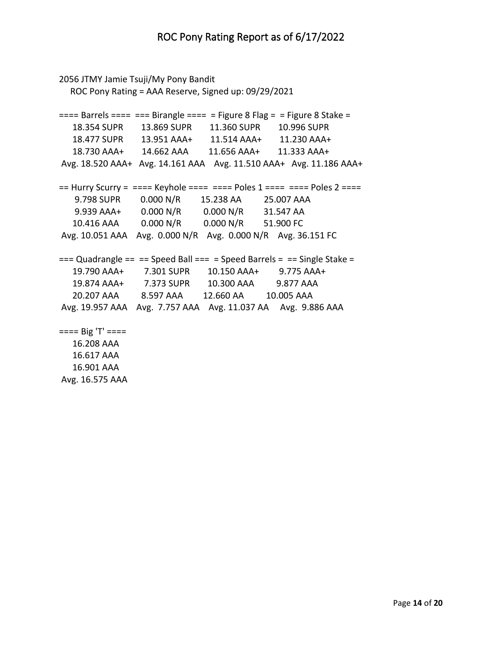```
2056 JTMY Jamie Tsuji/My Pony Bandit
   ROC Pony Rating = AAA Reserve, Signed up: 09/29/2021
=== Barrels === === Birangle === = Figure 8 Flag = = Figure 8 Stake = 18.354 SUPR 13.869 SUPR 11.360 SUPR 10.996 SUPR
   18.477 SUPR 13.951 AAA+ 11.514 AAA+ 11.230 AAA+
   18.730 AAA+ 14.662 AAA 11.656 AAA+ 11.333 AAA+
Avg. 18.520 AAA+ Avg. 14.161 AAA Avg. 11.510 AAA+ Avg. 11.186 AAA+
== Hurry Scurry = ==== Keyhole ===== = Poles 1 ==== = Poles 2 ===
    9.798 SUPR 0.000 N/R 15.238 AA 25.007 AAA 
    9.939 AAA+ 0.000 N/R 0.000 N/R 31.547 AA 
   10.416 AAA 0.000 N/R 0.000 N/R 51.900 FC 
Avg. 10.051 AAA Avg. 0.000 N/R Avg. 0.000 N/R Avg. 36.151 FC 
== Quadrangle == == Speed Ball === = Speed Barrels = == Single Stake =
   19.790 AAA+ 7.301 SUPR 10.150 AAA+ 9.775 AAA+
   19.874 AAA+ 7.373 SUPR 10.300 AAA 9.877 AAA 
   20.207 AAA 8.597 AAA 12.660 AA 10.005 AAA 
Avg. 19.957 AAA Avg. 7.757 AAA Avg. 11.037 AA Avg. 9.886 AAA 
==== Big 'T' ==== 16.208 AAA
```
 16.617 AAA 16.901 AAA Avg. 16.575 AAA

Page **14** of **20**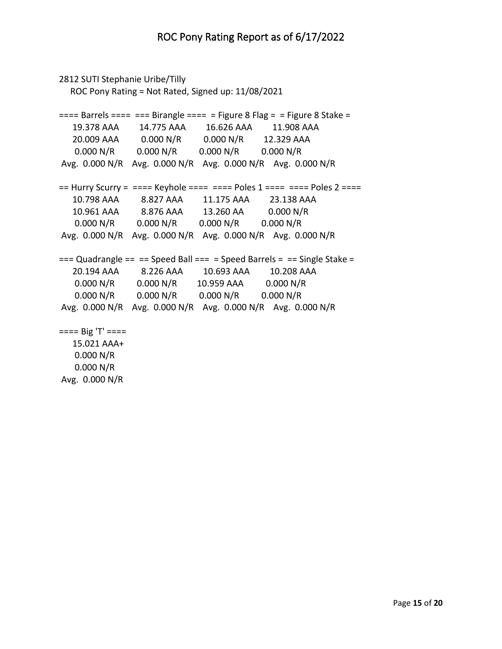```
2812 SUTI Stephanie Uribe/Tilly
   ROC Pony Rating = Not Rated, Signed up: 11/08/2021
=== Barrels === === Birangle === = Figure 8 Flag = = Figure 8 Stake = 19.378 AAA 14.775 AAA 16.626 AAA 11.908 AAA 
   20.009 AAA 0.000 N/R 0.000 N/R 12.329 AAA 
    0.000 N/R 0.000 N/R 0.000 N/R 0.000 N/R 
Avg. 0.000 N/R Avg. 0.000 N/R Avg. 0.000 N/R Avg. 0.000 N/R 
== Hurry Scurry = ==== Keyhole ===== = Poles 1 ==== = Poles 2 ===
   10.798 AAA 8.827 AAA 11.175 AAA 23.138 AAA 
   10.961 AAA 8.876 AAA 13.260 AA 0.000 N/R 
    0.000 N/R 0.000 N/R 0.000 N/R 0.000 N/R 
Avg. 0.000 N/R Avg. 0.000 N/R Avg. 0.000 N/R Avg. 0.000 N/R 
== Quadrangle == == Speed Ball === = Speed Barrels = == Single Stake =
   20.194 AAA 8.226 AAA 10.693 AAA 10.208 AAA 
    0.000 N/R 0.000 N/R 10.959 AAA 0.000 N/R 
    0.000 N/R 0.000 N/R 0.000 N/R 0.000 N/R 
Avg. 0.000 N/R Avg. 0.000 N/R Avg. 0.000 N/R Avg. 0.000 N/R 
==== Big 'T' ==== 15.021 AAA+
    0.000 N/R 
    0.000 N/R
```
Avg. 0.000 N/R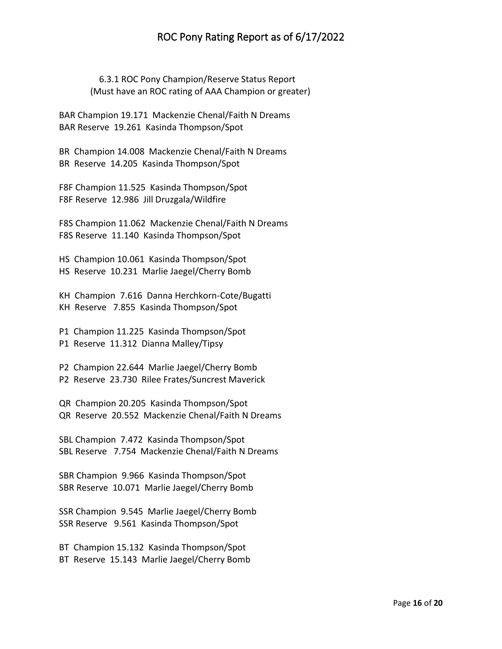## ROC Pony Rating Report as of 6/17/2022

 6.3.1 ROC Pony Champion/Reserve Status Report (Must have an ROC rating of AAA Champion or greater)

BAR Champion 19.171 Mackenzie Chenal/Faith N Dreams BAR Reserve 19.261 Kasinda Thompson/Spot

BR Champion 14.008 Mackenzie Chenal/Faith N Dreams BR Reserve 14.205 Kasinda Thompson/Spot

F8F Champion 11.525 Kasinda Thompson/Spot F8F Reserve 12.986 Jill Druzgala/Wildfire

F8S Champion 11.062 Mackenzie Chenal/Faith N Dreams F8S Reserve 11.140 Kasinda Thompson/Spot

HS Champion 10.061 Kasinda Thompson/Spot HS Reserve 10.231 Marlie Jaegel/Cherry Bomb

KH Champion 7.616 Danna Herchkorn-Cote/Bugatti KH Reserve 7.855 Kasinda Thompson/Spot

P1 Champion 11.225 Kasinda Thompson/Spot P1 Reserve 11.312 Dianna Malley/Tipsy

P2 Champion 22.644 Marlie Jaegel/Cherry Bomb P2 Reserve 23.730 Rilee Frates/Suncrest Maverick

QR Champion 20.205 Kasinda Thompson/Spot QR Reserve 20.552 Mackenzie Chenal/Faith N Dreams

SBL Champion 7.472 Kasinda Thompson/Spot SBL Reserve 7.754 Mackenzie Chenal/Faith N Dreams

SBR Champion 9.966 Kasinda Thompson/Spot SBR Reserve 10.071 Marlie Jaegel/Cherry Bomb

SSR Champion 9.545 Marlie Jaegel/Cherry Bomb SSR Reserve 9.561 Kasinda Thompson/Spot

BT Champion 15.132 Kasinda Thompson/Spot BT Reserve 15.143 Marlie Jaegel/Cherry Bomb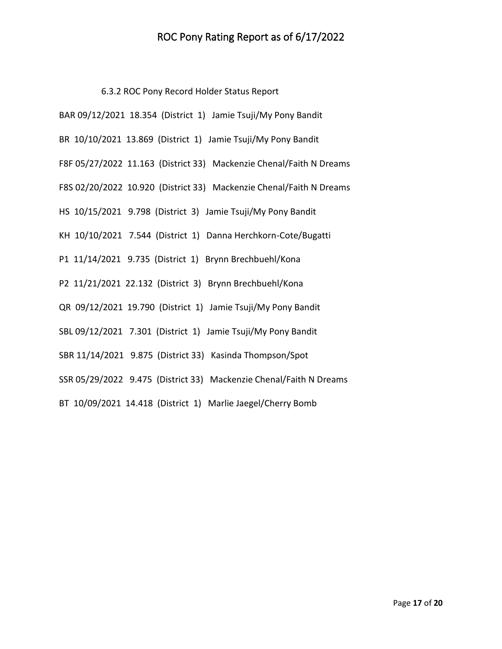## ROC Pony Rating Report as of 6/17/2022

6.3.2 ROC Pony Record Holder Status Report

| BAR 09/12/2021 18.354 (District 1) Jamie Tsuji/My Pony Bandit       |
|---------------------------------------------------------------------|
| BR 10/10/2021 13.869 (District 1) Jamie Tsuji/My Pony Bandit        |
| F8F 05/27/2022 11.163 (District 33) Mackenzie Chenal/Faith N Dreams |
| F8S 02/20/2022 10.920 (District 33) Mackenzie Chenal/Faith N Dreams |
| HS 10/15/2021 9.798 (District 3) Jamie Tsuji/My Pony Bandit         |
| KH 10/10/2021 7.544 (District 1) Danna Herchkorn-Cote/Bugatti       |
| P1 11/14/2021 9.735 (District 1) Brynn Brechbuehl/Kona              |
| P2 11/21/2021 22.132 (District 3) Brynn Brechbuehl/Kona             |
| QR 09/12/2021 19.790 (District 1) Jamie Tsuji/My Pony Bandit        |
| SBL 09/12/2021 7.301 (District 1) Jamie Tsuji/My Pony Bandit        |
| SBR 11/14/2021 9.875 (District 33) Kasinda Thompson/Spot            |
| SSR 05/29/2022 9.475 (District 33) Mackenzie Chenal/Faith N Dreams  |
| BT 10/09/2021 14.418 (District 1) Marlie Jaegel/Cherry Bomb         |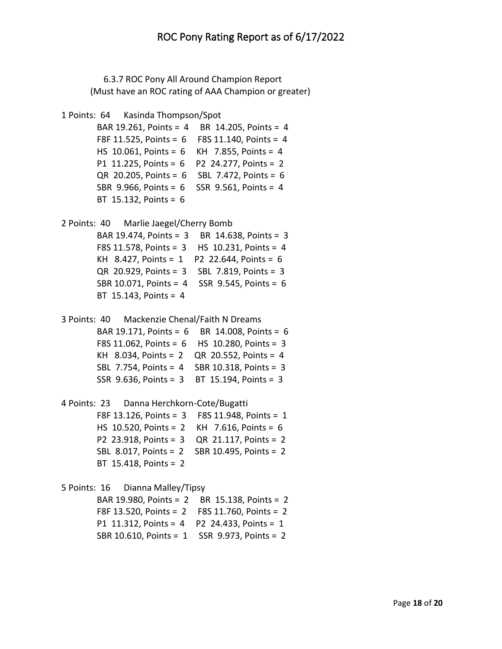6.3.7 ROC Pony All Around Champion Report (Must have an ROC rating of AAA Champion or greater)

```
1 Points: 64 Kasinda Thompson/Spot
```

```
 BAR 19.261, Points = 4 BR 14.205, Points = 4
 F8F 11.525, Points = 6 F8S 11.140, Points = 4
 HS 10.061, Points = 6 KH 7.855, Points = 4
 P1 11.225, Points = 6 P2 24.277, Points = 2
 QR 20.205, Points = 6 SBL 7.472, Points = 6
 SBR 9.966, Points = 6 SSR 9.561, Points = 4
 BT 15.132, Points = 6
```

```
2 Points: 40 Marlie Jaegel/Cherry Bomb 
         BAR 19.474, Points = 3 BR 14.638, Points = 3
         F8S 11.578, Points = 3 HS 10.231, Points = 4
```

```
 KH 8.427, Points = 1 P2 22.644, Points = 6
 QR 20.929, Points = 3 SBL 7.819, Points = 3
 SBR 10.071, Points = 4 SSR 9.545, Points = 6
 BT 15.143, Points = 4
```

```
3 Points: 40 Mackenzie Chenal/Faith N Dreams 
         BAR 19.171, Points = 6 BR 14.008, Points = 6
         F8S 11.062, Points = 6 HS 10.280, Points = 3
         KH 8.034, Points = 2 QR 20.552, Points = 4
         SBL 7.754, Points = 4 SBR 10.318, Points = 3
         SSR 9.636, Points = 3 BT 15.194, Points = 3
```

```
4 Points: 23 Danna Herchkorn-Cote/Bugatti 
         F8F 13.126, Points = 3 F8S 11.948, Points = 1
         HS 10.520, Points = 2 KH 7.616, Points = 6
         P2 23.918, Points = 3 QR 21.117, Points = 2
         SBL 8.017, Points = 2 SBR 10.495, Points = 2
         BT 15.418, Points = 2
```
5 Points: 16 Dianna Malley/Tipsy

 BAR 19.980, Points = 2 BR 15.138, Points = 2 F8F 13.520, Points = 2 F8S 11.760, Points = 2 P1 11.312, Points = 4 P2 24.433, Points = 1 SBR 10.610, Points = 1 SSR 9.973, Points = 2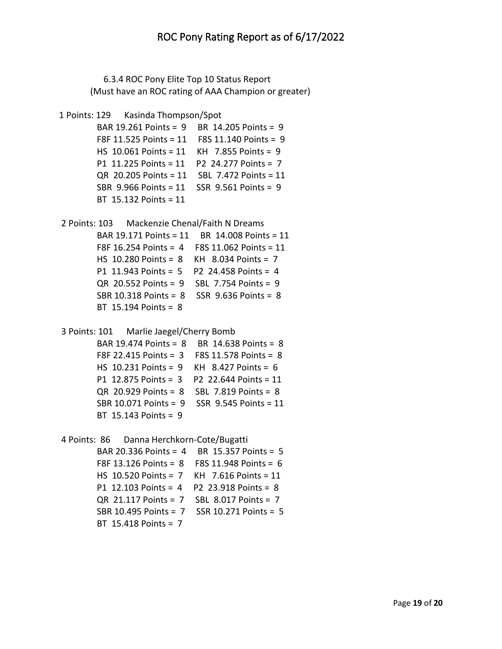6.3.4 ROC Pony Elite Top 10 Status Report (Must have an ROC rating of AAA Champion or greater)

```
1 Points: 129 Kasinda Thompson/Spot
```

```
 BAR 19.261 Points = 9 BR 14.205 Points = 9
 F8F 11.525 Points = 11 F8S 11.140 Points = 9
 HS 10.061 Points = 11 KH 7.855 Points = 9
 P1 11.225 Points = 11 P2 24.277 Points = 7
 QR 20.205 Points = 11 SBL 7.472 Points = 11
 SBR 9.966 Points = 11 SSR 9.561 Points = 9
 BT 15.132 Points = 11
```
2 Points: 103 Mackenzie Chenal/Faith N Dreams BAR 19.171 Points = 11 BR 14.008 Points = 11 F8F 16.254 Points = 4 F8S 11.062 Points = 11 HS 10.280 Points = 8 KH 8.034 Points = 7 P1 11.943 Points = 5 P2 24.458 Points = 4 QR 20.552 Points = 9 SBL 7.754 Points = 9 SBR 10.318 Points = 8 SSR 9.636 Points = 8 BT 15.194 Points = 8

```
3 Points: 101 Marlie Jaegel/Cherry Bomb
```

```
 BAR 19.474 Points = 8 BR 14.638 Points = 8
 F8F 22.415 Points = 3 F8S 11.578 Points = 8
 HS 10.231 Points = 9 KH 8.427 Points = 6
 P1 12.875 Points = 3 P2 22.644 Points = 11
 QR 20.929 Points = 8 SBL 7.819 Points = 8
 SBR 10.071 Points = 9 SSR 9.545 Points = 11
 BT 15.143 Points = 9
```
4 Points: 86 Danna Herchkorn-Cote/Bugatti

```
 BAR 20.336 Points = 4 BR 15.357 Points = 5
 F8F 13.126 Points = 8 F8S 11.948 Points = 6
 HS 10.520 Points = 7 KH 7.616 Points = 11
 P1 12.103 Points = 4 P2 23.918 Points = 8
 QR 21.117 Points = 7 SBL 8.017 Points = 7
 SBR 10.495 Points = 7 SSR 10.271 Points = 5
 BT 15.418 Points = 7
```